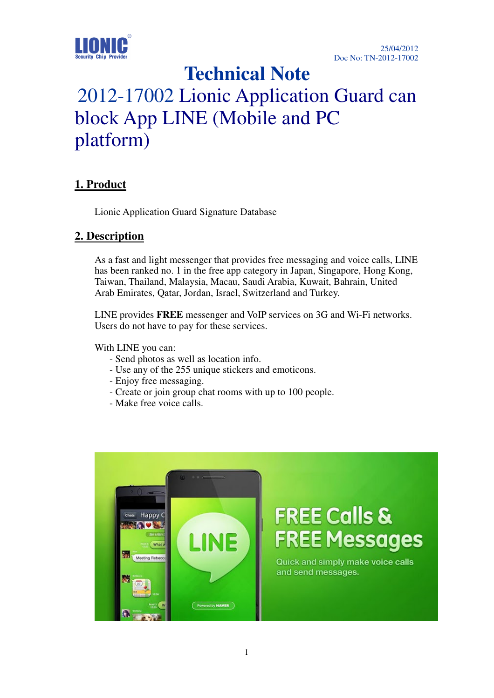

# **Technical Note**

# 2012-17002 Lionic Application Guard can block App LINE (Mobile and PC platform)

### **1. Product**

Lionic Application Guard Signature Database

#### **2. Description**

As a fast and light messenger that provides free messaging and voice calls, LINE has been ranked no. 1 in the free app category in Japan, Singapore, Hong Kong, Taiwan, Thailand, Malaysia, Macau, Saudi Arabia, Kuwait, Bahrain, United Arab Emirates, Qatar, Jordan, Israel, Switzerland and Turkey.

LINE provides **FREE** messenger and VoIP services on 3G and Wi-Fi networks. Users do not have to pay for these services.

With LINE you can:

- Send photos as well as location info.
- Use any of the 255 unique stickers and emoticons.
- Enjoy free messaging.
- Create or join group chat rooms with up to 100 people.
- Make free voice calls.